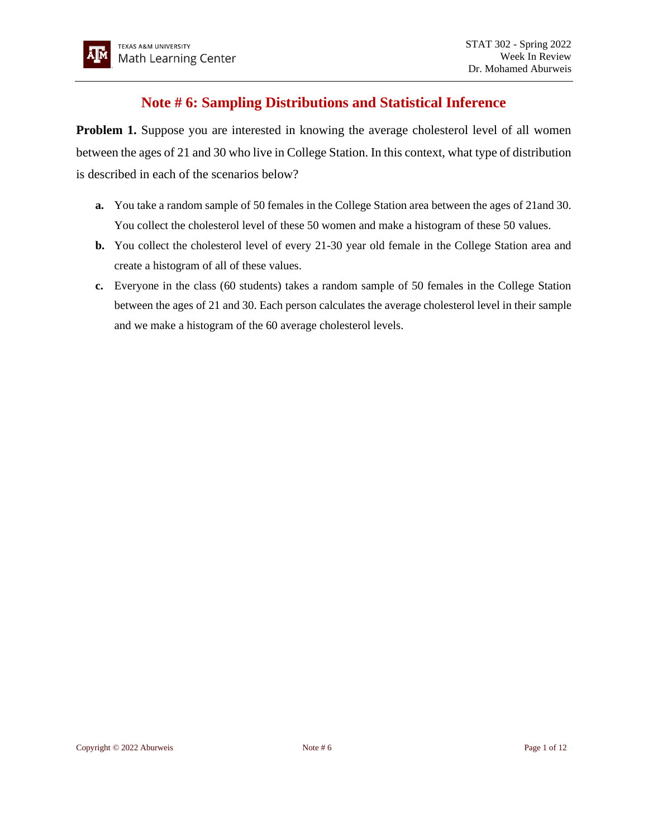## **Note # 6: Sampling Distributions and Statistical Inference**

**Problem 1.** Suppose you are interested in knowing the average cholesterol level of all women between the ages of 21 and 30 who live in College Station. In this context, what type of distribution is described in each of the scenarios below?

- **a.** You take a random sample of 50 females in the College Station area between the ages of 21and 30. You collect the cholesterol level of these 50 women and make a histogram of these 50 values.
- **b.** You collect the cholesterol level of every 21-30 year old female in the College Station area and create a histogram of all of these values.
- **c.** Everyone in the class (60 students) takes a random sample of 50 females in the College Station between the ages of 21 and 30. Each person calculates the average cholesterol level in their sample and we make a histogram of the 60 average cholesterol levels.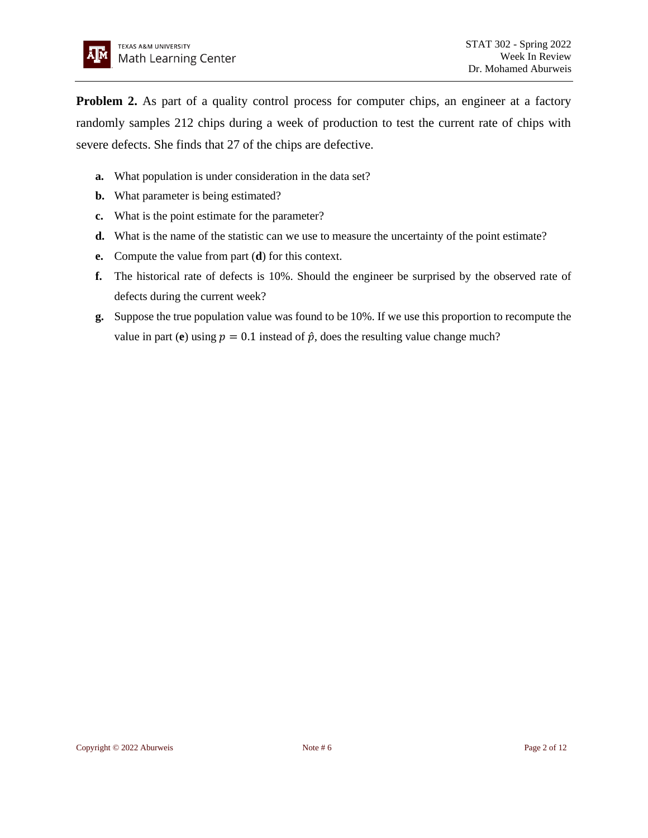

**Problem 2.** As part of a quality control process for computer chips, an engineer at a factory randomly samples 212 chips during a week of production to test the current rate of chips with severe defects. She finds that 27 of the chips are defective.

- **a.** What population is under consideration in the data set?
- **b.** What parameter is being estimated?
- **c.** What is the point estimate for the parameter?
- **d.** What is the name of the statistic can we use to measure the uncertainty of the point estimate?
- **e.** Compute the value from part (**d**) for this context.
- **f.** The historical rate of defects is 10%. Should the engineer be surprised by the observed rate of defects during the current week?
- **g.** Suppose the true population value was found to be 10%. If we use this proportion to recompute the value in part (**e**) using  $p = 0.1$  instead of  $\hat{p}$ , does the resulting value change much?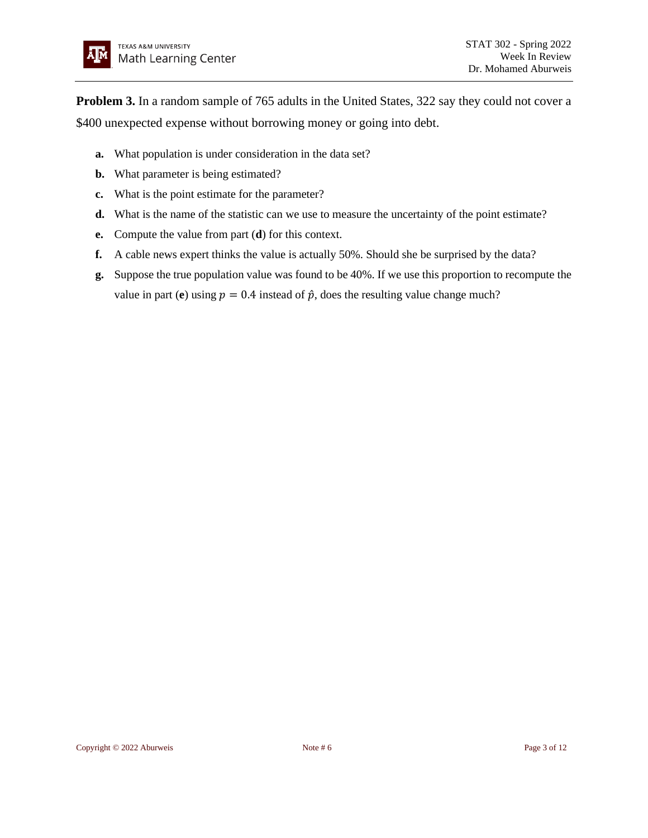**Problem 3.** In a random sample of 765 adults in the United States, 322 say they could not cover a \$400 unexpected expense without borrowing money or going into debt.

- **a.** What population is under consideration in the data set?
- **b.** What parameter is being estimated?
- **c.** What is the point estimate for the parameter?
- **d.** What is the name of the statistic can we use to measure the uncertainty of the point estimate?
- **e.** Compute the value from part (**d**) for this context.
- **f.** A cable news expert thinks the value is actually 50%. Should she be surprised by the data?
- **g.** Suppose the true population value was found to be 40%. If we use this proportion to recompute the value in part (**e**) using  $p = 0.4$  instead of  $\hat{p}$ , does the resulting value change much?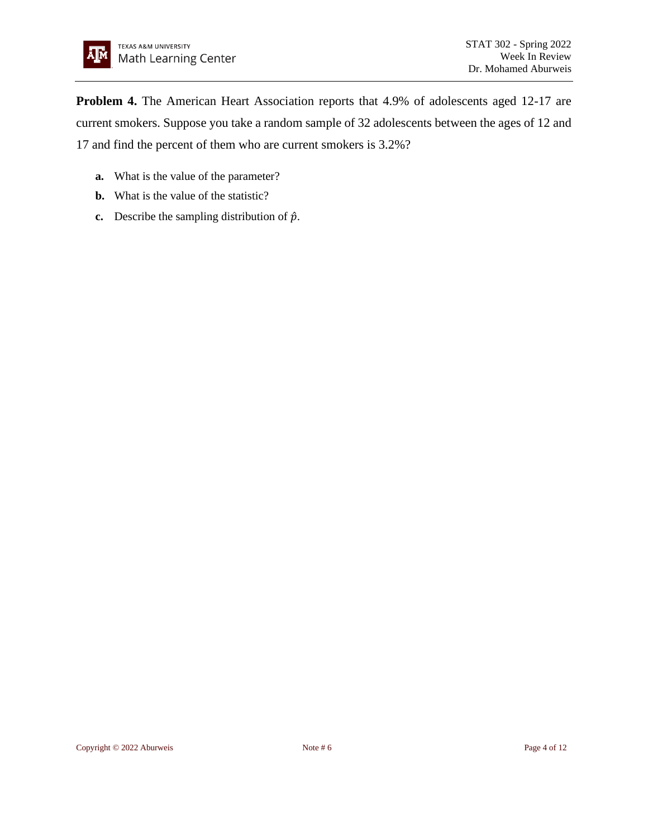**Problem 4.** The American Heart Association reports that 4.9% of adolescents aged 12-17 are current smokers. Suppose you take a random sample of 32 adolescents between the ages of 12 and 17 and find the percent of them who are current smokers is 3.2%?

- **a.** What is the value of the parameter?
- **b.** What is the value of the statistic?
- **c.** Describe the sampling distribution of  $\hat{p}$ .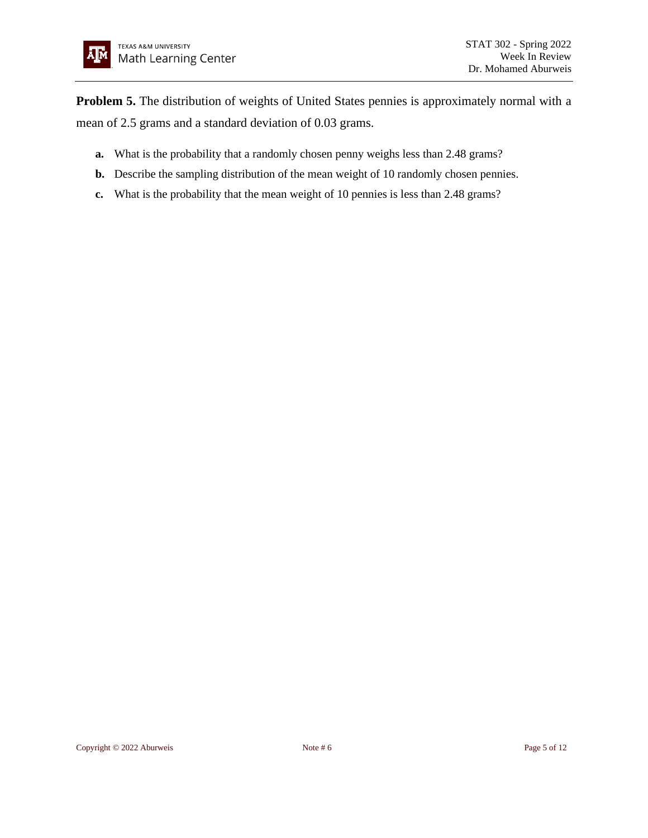**Problem 5.** The distribution of weights of United States pennies is approximately normal with a mean of 2.5 grams and a standard deviation of 0.03 grams.

- **a.** What is the probability that a randomly chosen penny weighs less than 2.48 grams?
- **b.** Describe the sampling distribution of the mean weight of 10 randomly chosen pennies.
- **c.** What is the probability that the mean weight of 10 pennies is less than 2.48 grams?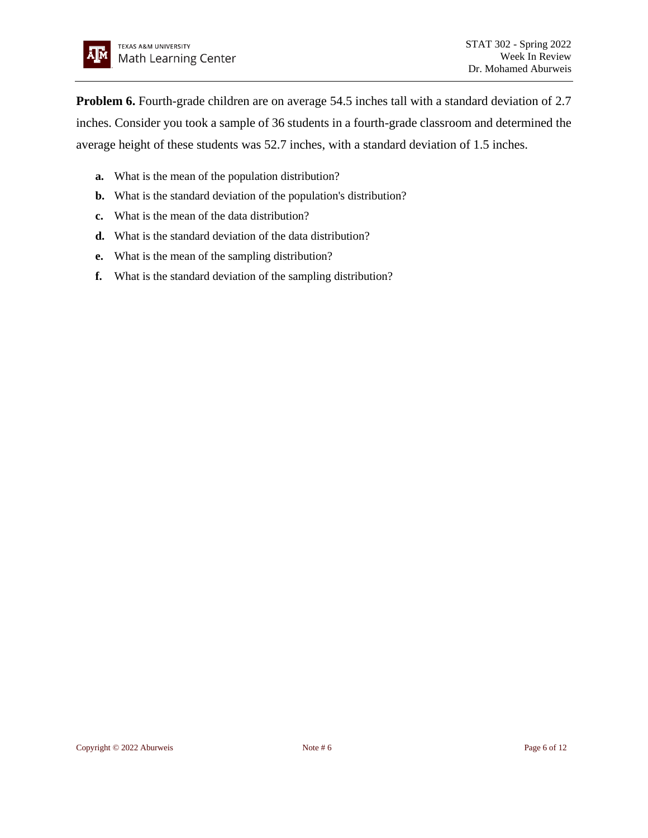**Problem 6.** Fourth-grade children are on average 54.5 inches tall with a standard deviation of 2.7 inches. Consider you took a sample of 36 students in a fourth-grade classroom and determined the average height of these students was 52.7 inches, with a standard deviation of 1.5 inches.

- **a.** What is the mean of the population distribution?
- **b.** What is the standard deviation of the population's distribution?
- **c.** What is the mean of the data distribution?
- **d.** What is the standard deviation of the data distribution?
- **e.** What is the mean of the sampling distribution?
- **f.** What is the standard deviation of the sampling distribution?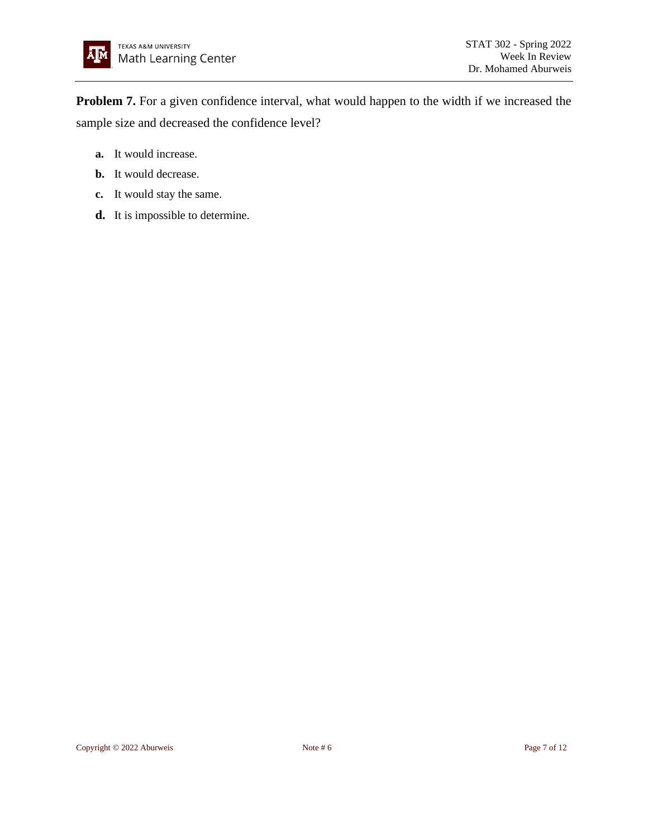**Problem 7.** For a given confidence interval, what would happen to the width if we increased the sample size and decreased the confidence level?

- **a.** It would increase.
- **b.** It would decrease.
- **c.** It would stay the same.
- **d.** It is impossible to determine.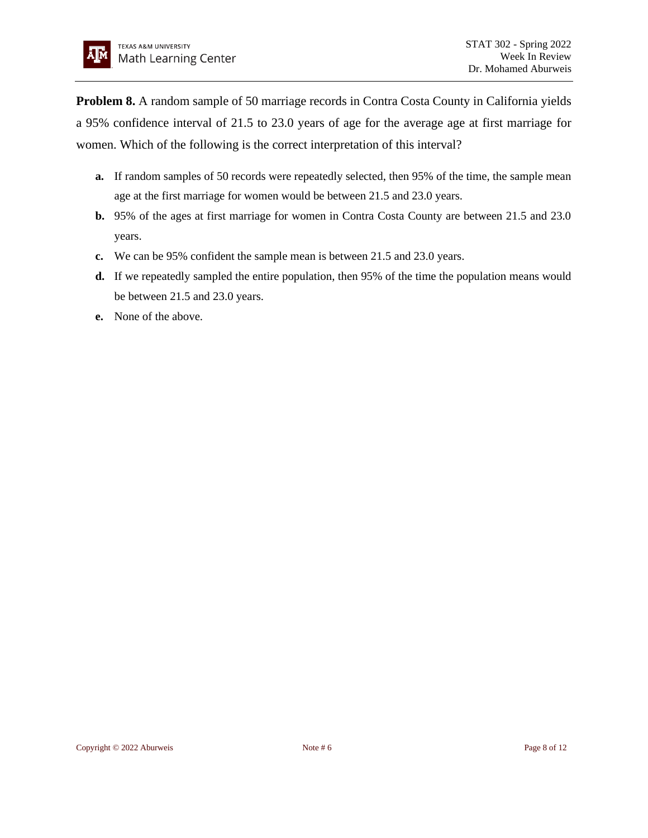**Problem 8.** A random sample of 50 marriage records in Contra Costa County in California yields a 95% confidence interval of 21.5 to 23.0 years of age for the average age at first marriage for women. Which of the following is the correct interpretation of this interval?

- **a.** If random samples of 50 records were repeatedly selected, then 95% of the time, the sample mean age at the first marriage for women would be between 21.5 and 23.0 years.
- **b.** 95% of the ages at first marriage for women in Contra Costa County are between 21.5 and 23.0 years.
- **c.** We can be 95% confident the sample mean is between 21.5 and 23.0 years.
- **d.** If we repeatedly sampled the entire population, then 95% of the time the population means would be between 21.5 and 23.0 years.
- **e.** None of the above.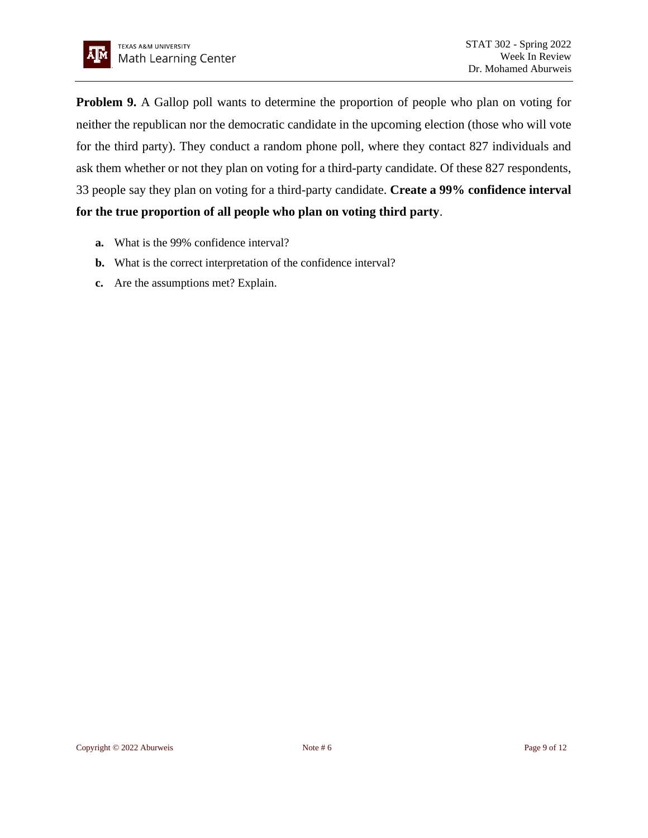

**Problem 9.** A Gallop poll wants to determine the proportion of people who plan on voting for neither the republican nor the democratic candidate in the upcoming election (those who will vote for the third party). They conduct a random phone poll, where they contact 827 individuals and ask them whether or not they plan on voting for a third-party candidate. Of these 827 respondents, 33 people say they plan on voting for a third-party candidate. **Create a 99% confidence interval for the true proportion of all people who plan on voting third party**.

- **a.** What is the 99% confidence interval?
- **b.** What is the correct interpretation of the confidence interval?
- **c.** Are the assumptions met? Explain.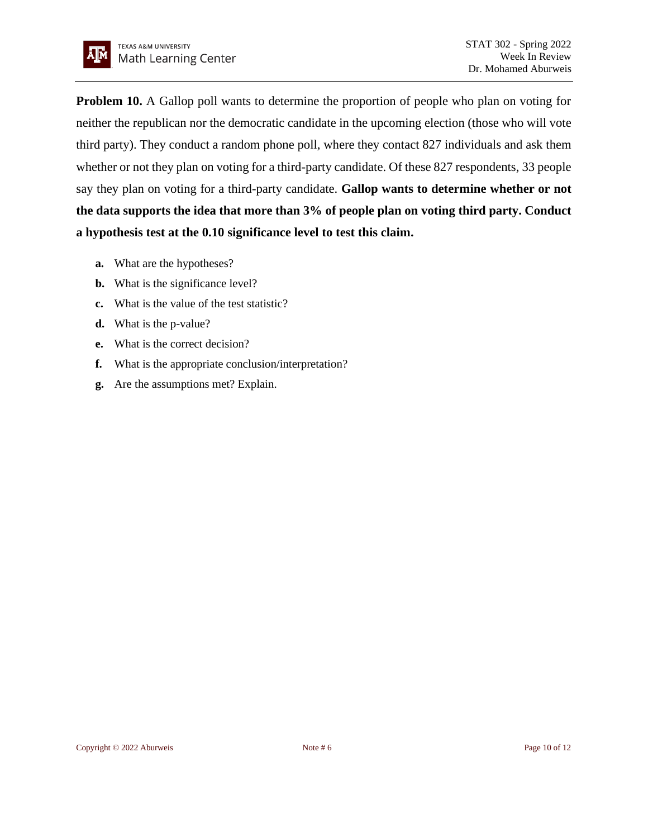

**Problem 10.** A Gallop poll wants to determine the proportion of people who plan on voting for neither the republican nor the democratic candidate in the upcoming election (those who will vote third party). They conduct a random phone poll, where they contact 827 individuals and ask them whether or not they plan on voting for a third-party candidate. Of these 827 respondents, 33 people say they plan on voting for a third-party candidate. **Gallop wants to determine whether or not the data supports the idea that more than 3% of people plan on voting third party. Conduct a hypothesis test at the 0.10 significance level to test this claim.**

- **a.** What are the hypotheses?
- **b.** What is the significance level?
- **c.** What is the value of the test statistic?
- **d.** What is the p-value?
- **e.** What is the correct decision?
- **f.** What is the appropriate conclusion/interpretation?
- **g.** Are the assumptions met? Explain.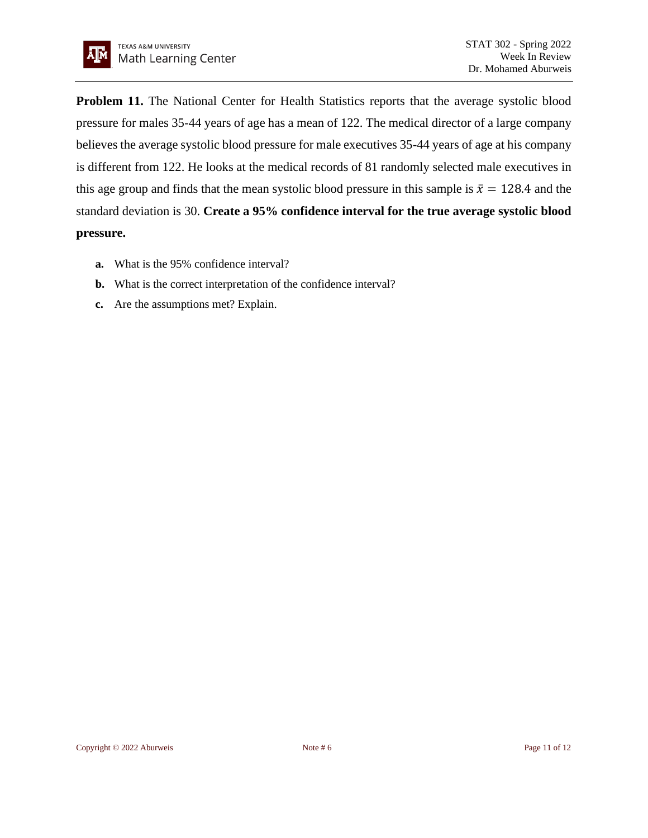

**Problem 11.** The National Center for Health Statistics reports that the average systolic blood pressure for males 35-44 years of age has a mean of 122. The medical director of a large company believes the average systolic blood pressure for male executives 35-44 years of age at his company is different from 122. He looks at the medical records of 81 randomly selected male executives in this age group and finds that the mean systolic blood pressure in this sample is  $\bar{x} = 128.4$  and the standard deviation is 30. **Create a 95% confidence interval for the true average systolic blood pressure.**

- **a.** What is the 95% confidence interval?
- **b.** What is the correct interpretation of the confidence interval?
- **c.** Are the assumptions met? Explain.